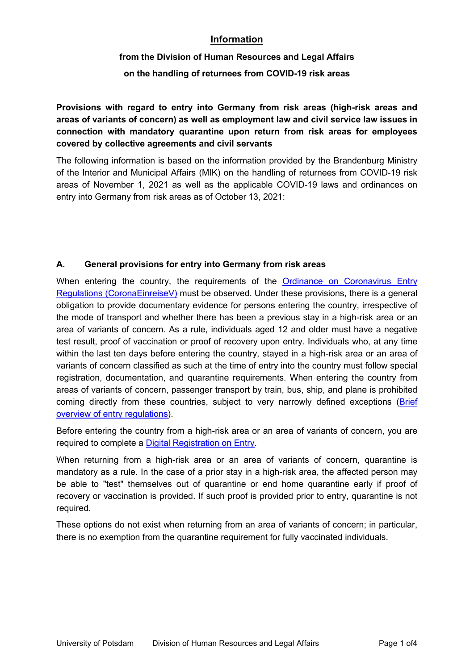### **Information**

# **from the Division of Human Resources and Legal Affairs**

**on the handling of returnees from COVID-19 risk areas**

**Provisions with regard to entry into Germany from risk areas (high-risk areas and areas of variants of concern) as well as employment law and civil service law issues in connection with mandatory quarantine upon return from risk areas for employees covered by collective agreements and civil servants**

The following information is based on the information provided by the Brandenburg Ministry of the Interior and Municipal Affairs (MIK) on the handling of returnees from COVID-19 risk areas of November 1, 2021 as well as the applicable COVID-19 laws and ordinances on entry into Germany from risk areas as of October 13, 2021:

### **A. General provisions for entry into Germany from risk areas**

When entering the country, the requirements of the Ordinance on [Coronavirus](https://www.bundesanzeiger.de/pub/publication/UyNX8RTxqfk5Ynq8avy/content/UyNX8RTxqfk5Ynq8avy/BAnz%20AT%2029.09.2021%20V1.pdf?inline) Entry Regulations (CoronaEinreiseV) must be observed. Under these provisions, there is a general obligation to provide documentary evidence for persons entering the country, irrespective of the mode of transport and whether there has been a previous stay in a high-risk area or an area of variants of concern. As a rule, individuals aged 12 and older must have a negative test result, proof of vaccination or proof of recovery upon entry. Individuals who, at any time within the last ten days before entering the country, stayed in a high-risk area or an area of variants of concern classified as such at the time of entry into the country must follow special registration, documentation, and quarantine requirements. When entering the country from areas of variants of concern, passenger transport by train, bus, ship, and plane is prohibited coming directly from these countries, subject to very narrowly defined exceptions ([Brief](https://www.bundesgesundheitsministerium.de/fileadmin/Dateien/3_Downloads/C/Coronavirus/FAQs_Reise/Corona-Einreiseregeln_Kurzuebersicht.pdf) overview of entry regulations).

Before entering the country from a high-risk area or an area of variants of concern, you are required to complete a Digital [Registration](https://www.einreiseanmeldung.de/) on Entry.

When returning from a high-risk area or an area of variants of concern, quarantine is mandatory as a rule. In the case of a prior stay in a high-risk area, the affected person may be able to "test" themselves out of quarantine or end home quarantine early if proof of recovery or vaccination is provided. If such proof is provided prior to entry, quarantine is not required.

These options do not exist when returning from an area of variants of concern; in particular, there is no exemption from the quarantine requirement for fully vaccinated individuals.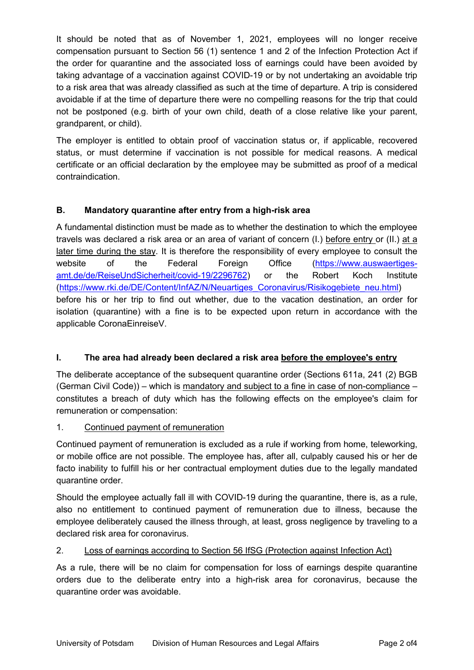It should be noted that as of November 1, 2021, employees will no longer receive compensation pursuant to Section 56 (1) sentence 1 and 2 of the Infection Protection Act if the order for quarantine and the associated loss of earnings could have been avoided by taking advantage of a vaccination against COVID-19 or by not undertaking an avoidable trip to a risk area that was already classified as such at the time of departure. A trip is considered avoidable if at the time of departure there were no compelling reasons for the trip that could not be postponed (e.g. birth of your own child, death of a close relative like your parent, grandparent, or child).

The employer is entitled to obtain proof of vaccination status or, if applicable, recovered status, or must determine if vaccination is not possible for medical reasons. A medical certificate or an official declaration by the employee may be submitted as proof of a medical contraindication.

### **B. Mandatory quarantine after entry from a high-risk area**

A fundamental distinction must be made as to whether the destination to which the employee travels was declared a risk area or an area of variant of concern (I.) before entry or (II.) at a later time during the stay. It is therefore the responsibility of every employee to consult the website of the Federal Foreign Office [\(https://www.auswaertiges](https://www.auswaertiges-amt.de/de/ReiseUndSicherheit/covid-19/2296762) amt.de/de/ReiseUndSicherheit/covid-19/2296762) or the Robert Koch Institute [\(https://www.rki.de/DE/Content/InfAZ/N/Neuartiges\\_Coronavirus/Risikogebiete\\_neu.html\)](https://www.rki.de/DE/Content/InfAZ/N/Neuartiges_Coronavirus/Risikogebiete_neu.html) before his or her trip to find out whether, due to the vacation destination, an order for isolation (quarantine) with a fine is to be expected upon return in accordance with the applicable CoronaEinreiseV.

### **I. The area had already been declared a risk area before the employee's entry**

The deliberate acceptance of the subsequent quarantine order (Sections 611a, 241 (2) BGB (German Civil Code)) – which is mandatory and subject to a fine in case of non-compliance – constitutes a breach of duty which has the following effects on the employee's claim for remuneration or compensation:

### 1. Continued payment of remuneration

Continued payment of remuneration is excluded as a rule if working from home, teleworking, or mobile office are not possible. The employee has, after all, culpably caused his or her de facto inability to fulfill his or her contractual employment duties due to the legally mandated quarantine order.

Should the employee actually fall ill with COVID-19 during the quarantine, there is, as a rule, also no entitlement to continued payment of remuneration due to illness, because the employee deliberately caused the illness through, at least, gross negligence by traveling to a declared risk area for coronavirus.

### 2. Loss of earnings according to Section 56 IfSG (Protection against Infection Act)

As a rule, there will be no claim for compensation for loss of earnings despite quarantine orders due to the deliberate entry into a high-risk area for coronavirus, because the quarantine order was avoidable.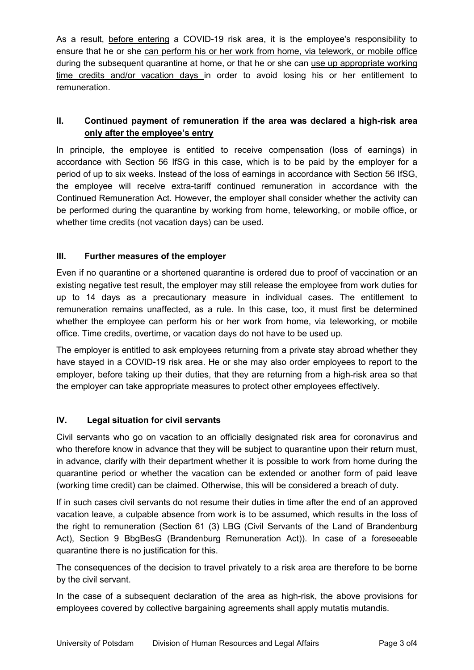As a result, before entering a COVID-19 risk area, it is the employee's responsibility to ensure that he or she can perform his or her work from home, via telework, or mobile office during the subsequent quarantine at home, or that he or she can use up appropriate working time credits and/or vacation days in order to avoid losing his or her entitlement to remuneration.

## **II. Continued payment of remuneration if the area was declared ahigh-risk area only after the employee's entry**

In principle, the employee is entitled to receive compensation (loss of earnings) in accordance with Section 56 IfSG in this case, which is to be paid by the employer for a period of up to six weeks. Instead of the loss of earnings in accordance with Section 56 IfSG, the employee will receive extra-tariff continued remuneration in accordance with the Continued Remuneration Act. However, the employer shall consider whether the activity can be performed during the quarantine by working from home, teleworking, or mobile office, or whether time credits (not vacation days) can be used.

### **III. Further measures of the employer**

Even if no quarantine or a shortened quarantine is ordered due to proof of vaccination or an existing negative test result, the employer may still release the employee from work duties for up to 14 days as a precautionary measure in individualcases. The entitlement to remuneration remains unaffected, as a rule. In this case, too, it must first be determined whether the employee can perform his or her work from home, via teleworking, or mobile office. Time credits, overtime, or vacation days do not have to be used up.

The employer is entitled to ask employees returning from a private stay abroad whether they have stayed in a COVID-19 risk area. He or she may also order employees to report to the employer, before taking up their duties, that they are returning from a high-risk area so that the employer can take appropriate measures to protect other employees effectively.

### **IV. Legal situation for civil servants**

Civil servants who go on vacation to an officially designated risk area for coronavirus and who therefore know in advance that they will be subject to quarantine upon their return must, in advance, clarify with their department whether it is possible to work from home during the quarantine period or whether the vacation can be extended or another form of paid leave (working time credit) can be claimed. Otherwise, this will be considered a breach of duty.

If in such cases civil servants do not resume their duties in time after the end of an approved vacation leave, a culpable absence from work is to be assumed, which results in the loss of the right to remuneration (Section 61 (3) LBG (Civil Servants of the Land of Brandenburg Act), Section 9 BbgBesG (Brandenburg Remuneration Act)). In case of a foreseeable quarantine there is no justification for this.

The consequences of the decision to travel privately to a risk area are therefore to be borne by the civil servant.

In the case of a subsequent declaration of the area as high-risk, the above provisions for employees covered by collective bargaining agreements shall apply mutatis mutandis.